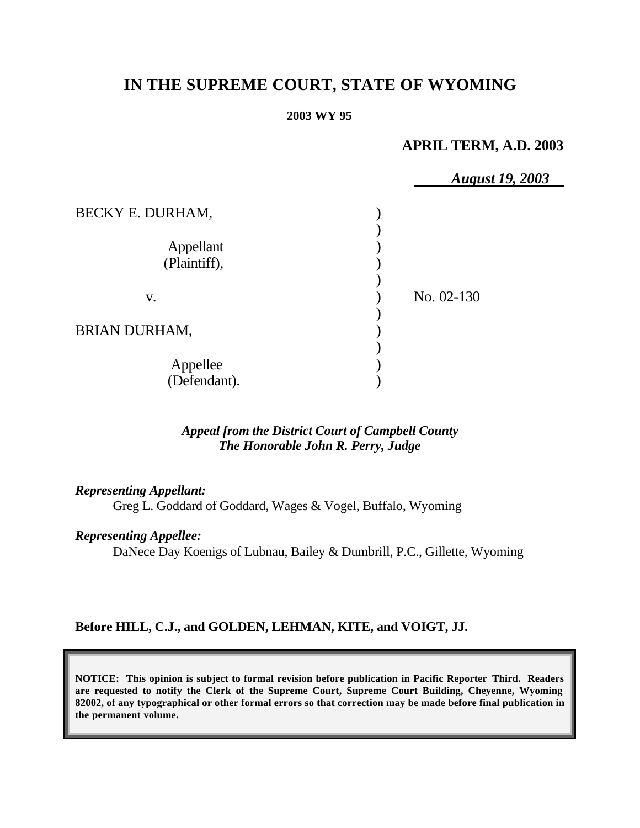# **IN THE SUPREME COURT, STATE OF WYOMING**

#### **2003 WY 95**

# **APRIL TERM, A.D. 2003**

|                           | <b>August 19, 2003</b> |  |
|---------------------------|------------------------|--|
| BECKY E. DURHAM,          |                        |  |
| Appellant<br>(Plaintiff), |                        |  |
| V.                        | No. 02-130             |  |
| <b>BRIAN DURHAM,</b>      |                        |  |
| Appellee<br>(Defendant).  |                        |  |

## *Appeal from the District Court of Campbell County The Honorable John R. Perry, Judge*

#### *Representing Appellant:*

Greg L. Goddard of Goddard, Wages & Vogel, Buffalo, Wyoming

#### *Representing Appellee:*

DaNece Day Koenigs of Lubnau, Bailey & Dumbrill, P.C., Gillette, Wyoming

### **Before HILL, C.J., and GOLDEN, LEHMAN, KITE, and VOIGT, JJ.**

**NOTICE: This opinion is subject to formal revision before publication in Pacific Reporter Third. Readers are requested to notify the Clerk of the Supreme Court, Supreme Court Building, Cheyenne, Wyoming 82002, of any typographical or other formal errors so that correction may be made before final publication in the permanent volume.**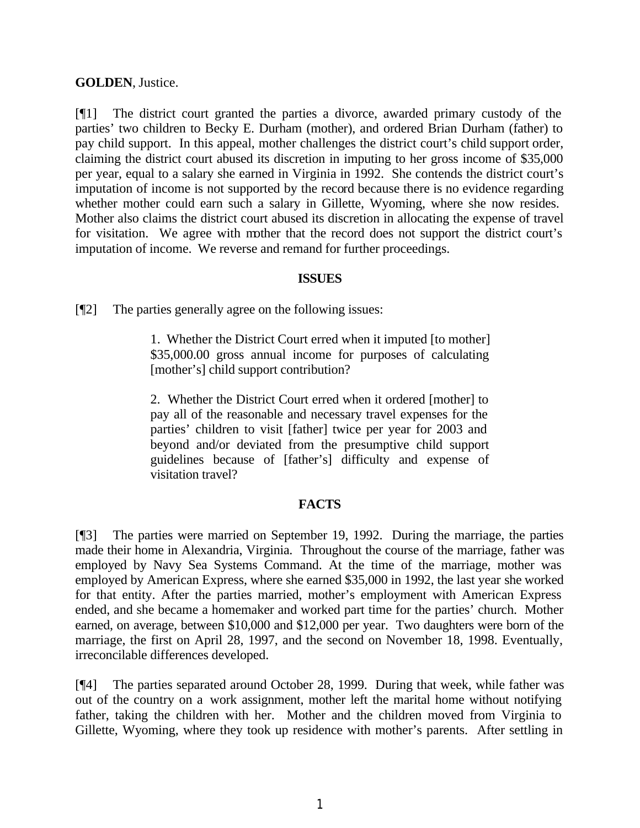### **GOLDEN**, Justice.

[¶1] The district court granted the parties a divorce, awarded primary custody of the parties' two children to Becky E. Durham (mother), and ordered Brian Durham (father) to pay child support. In this appeal, mother challenges the district court's child support order, claiming the district court abused its discretion in imputing to her gross income of \$35,000 per year, equal to a salary she earned in Virginia in 1992. She contends the district court's imputation of income is not supported by the record because there is no evidence regarding whether mother could earn such a salary in Gillette, Wyoming, where she now resides. Mother also claims the district court abused its discretion in allocating the expense of travel for visitation. We agree with mother that the record does not support the district court's imputation of income. We reverse and remand for further proceedings.

### **ISSUES**

[¶2] The parties generally agree on the following issues:

1. Whether the District Court erred when it imputed [to mother] \$35,000.00 gross annual income for purposes of calculating [mother's] child support contribution?

2. Whether the District Court erred when it ordered [mother] to pay all of the reasonable and necessary travel expenses for the parties' children to visit [father] twice per year for 2003 and beyond and/or deviated from the presumptive child support guidelines because of [father's] difficulty and expense of visitation travel?

### **FACTS**

[¶3] The parties were married on September 19, 1992. During the marriage, the parties made their home in Alexandria, Virginia. Throughout the course of the marriage, father was employed by Navy Sea Systems Command. At the time of the marriage, mother was employed by American Express, where she earned \$35,000 in 1992, the last year she worked for that entity. After the parties married, mother's employment with American Express ended, and she became a homemaker and worked part time for the parties' church. Mother earned, on average, between \$10,000 and \$12,000 per year. Two daughters were born of the marriage, the first on April 28, 1997, and the second on November 18, 1998. Eventually, irreconcilable differences developed.

[¶4] The parties separated around October 28, 1999. During that week, while father was out of the country on a work assignment, mother left the marital home without notifying father, taking the children with her. Mother and the children moved from Virginia to Gillette, Wyoming, where they took up residence with mother's parents. After settling in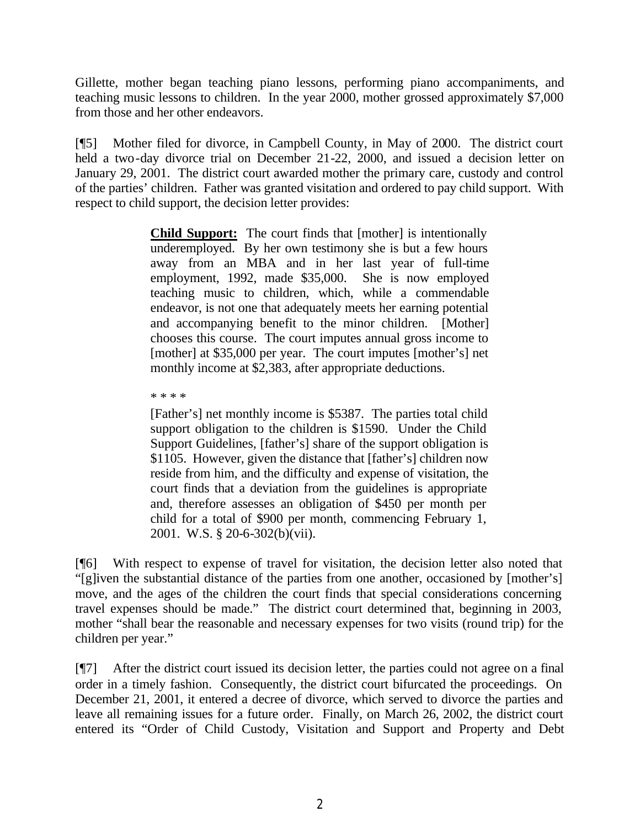Gillette, mother began teaching piano lessons, performing piano accompaniments, and teaching music lessons to children. In the year 2000, mother grossed approximately \$7,000 from those and her other endeavors.

[¶5] Mother filed for divorce, in Campbell County, in May of 2000. The district court held a two-day divorce trial on December 21-22, 2000, and issued a decision letter on January 29, 2001. The district court awarded mother the primary care, custody and control of the parties' children. Father was granted visitation and ordered to pay child support. With respect to child support, the decision letter provides:

> **Child Support:** The court finds that [mother] is intentionally underemployed. By her own testimony she is but a few hours away from an MBA and in her last year of full-time employment, 1992, made \$35,000. She is now employed teaching music to children, which, while a commendable endeavor, is not one that adequately meets her earning potential and accompanying benefit to the minor children. [Mother] chooses this course. The court imputes annual gross income to [mother] at \$35,000 per year. The court imputes [mother's] net monthly income at \$2,383, after appropriate deductions.

\* \* \* \*

[Father's] net monthly income is \$5387. The parties total child support obligation to the children is \$1590. Under the Child Support Guidelines, [father's] share of the support obligation is \$1105. However, given the distance that [father's] children now reside from him, and the difficulty and expense of visitation, the court finds that a deviation from the guidelines is appropriate and, therefore assesses an obligation of \$450 per month per child for a total of \$900 per month, commencing February 1, 2001. W.S. § 20-6-302(b)(vii).

[¶6] With respect to expense of travel for visitation, the decision letter also noted that "[g]iven the substantial distance of the parties from one another, occasioned by [mother's] move, and the ages of the children the court finds that special considerations concerning travel expenses should be made." The district court determined that, beginning in 2003, mother "shall bear the reasonable and necessary expenses for two visits (round trip) for the children per year."

[¶7] After the district court issued its decision letter, the parties could not agree on a final order in a timely fashion. Consequently, the district court bifurcated the proceedings. On December 21, 2001, it entered a decree of divorce, which served to divorce the parties and leave all remaining issues for a future order. Finally, on March 26, 2002, the district court entered its "Order of Child Custody, Visitation and Support and Property and Debt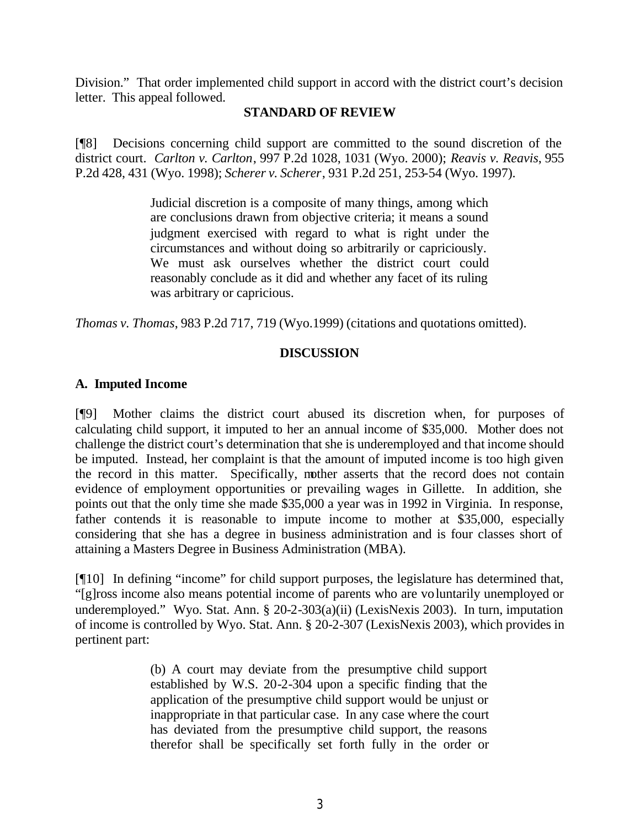Division." That order implemented child support in accord with the district court's decision letter. This appeal followed.

#### **STANDARD OF REVIEW**

[¶8] Decisions concerning child support are committed to the sound discretion of the district court. *Carlton v. Carlton*, 997 P.2d 1028, 1031 (Wyo. 2000); *Reavis v. Reavis*, 955 P.2d 428, 431 (Wyo. 1998); *Scherer v. Scherer*, 931 P.2d 251, 253-54 (Wyo. 1997).

> Judicial discretion is a composite of many things, among which are conclusions drawn from objective criteria; it means a sound judgment exercised with regard to what is right under the circumstances and without doing so arbitrarily or capriciously. We must ask ourselves whether the district court could reasonably conclude as it did and whether any facet of its ruling was arbitrary or capricious.

*Thomas v. Thomas*, 983 P.2d 717, 719 (Wyo.1999) (citations and quotations omitted).

#### **DISCUSSION**

## **A. Imputed Income**

[¶9] Mother claims the district court abused its discretion when, for purposes of calculating child support, it imputed to her an annual income of \$35,000. Mother does not challenge the district court's determination that she is underemployed and that income should be imputed. Instead, her complaint is that the amount of imputed income is too high given the record in this matter. Specifically, mother asserts that the record does not contain evidence of employment opportunities or prevailing wages in Gillette. In addition, she points out that the only time she made \$35,000 a year was in 1992 in Virginia. In response, father contends it is reasonable to impute income to mother at \$35,000, especially considering that she has a degree in business administration and is four classes short of attaining a Masters Degree in Business Administration (MBA).

[¶10] In defining "income" for child support purposes, the legislature has determined that, "[g]ross income also means potential income of parents who are voluntarily unemployed or underemployed." Wyo. Stat. Ann. § 20-2-303(a)(ii) (LexisNexis 2003). In turn, imputation of income is controlled by Wyo. Stat. Ann. § 20-2-307 (LexisNexis 2003), which provides in pertinent part:

> (b) A court may deviate from the presumptive child support established by W.S. 20-2-304 upon a specific finding that the application of the presumptive child support would be unjust or inappropriate in that particular case. In any case where the court has deviated from the presumptive child support, the reasons therefor shall be specifically set forth fully in the order or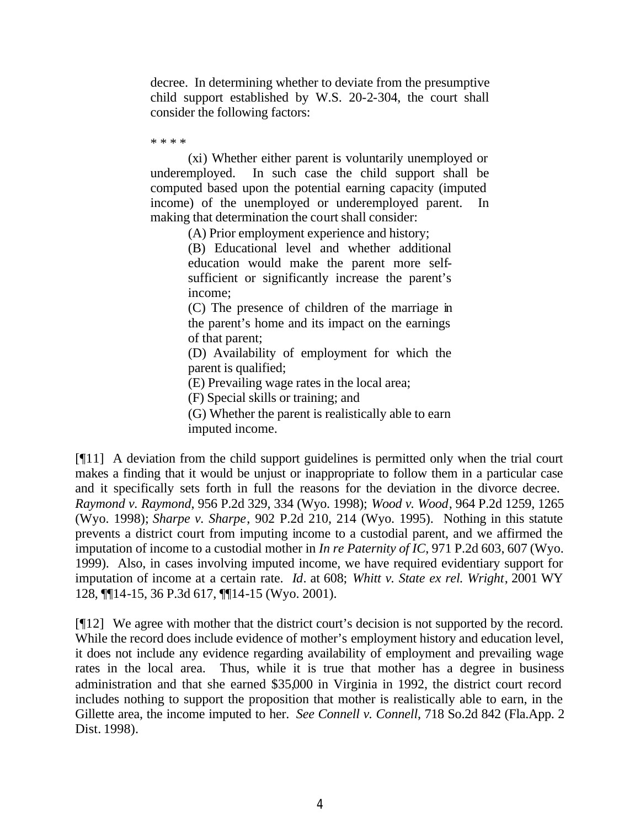decree. In determining whether to deviate from the presumptive child support established by W.S. 20-2-304, the court shall consider the following factors:

\* \* \* \*

(xi) Whether either parent is voluntarily unemployed or underemployed. In such case the child support shall be computed based upon the potential earning capacity (imputed income) of the unemployed or underemployed parent. In making that determination the court shall consider:

(A) Prior employment experience and history;

(B) Educational level and whether additional education would make the parent more selfsufficient or significantly increase the parent's income;

(C) The presence of children of the marriage in the parent's home and its impact on the earnings of that parent;

(D) Availability of employment for which the parent is qualified;

(E) Prevailing wage rates in the local area;

(F) Special skills or training; and

(G) Whether the parent is realistically able to earn

imputed income.

[¶11] A deviation from the child support guidelines is permitted only when the trial court makes a finding that it would be unjust or inappropriate to follow them in a particular case and it specifically sets forth in full the reasons for the deviation in the divorce decree. *Raymond v. Raymond*, 956 P.2d 329, 334 (Wyo. 1998); *Wood v. Wood*, 964 P.2d 1259, 1265 (Wyo. 1998); *Sharpe v. Sharpe*, 902 P.2d 210, 214 (Wyo. 1995). Nothing in this statute prevents a district court from imputing income to a custodial parent, and we affirmed the imputation of income to a custodial mother in *In re Paternity of IC*, 971 P.2d 603, 607 (Wyo. 1999). Also, in cases involving imputed income, we have required evidentiary support for imputation of income at a certain rate. *Id*. at 608; *Whitt v. State ex rel. Wright*, 2001 WY 128, ¶¶14-15, 36 P.3d 617, ¶¶14-15 (Wyo. 2001).

[¶12] We agree with mother that the district court's decision is not supported by the record. While the record does include evidence of mother's employment history and education level, it does not include any evidence regarding availability of employment and prevailing wage rates in the local area. Thus, while it is true that mother has a degree in business administration and that she earned \$35,000 in Virginia in 1992, the district court record includes nothing to support the proposition that mother is realistically able to earn, in the Gillette area, the income imputed to her. *See Connell v. Connell*, 718 So.2d 842 (Fla.App. 2) Dist. 1998).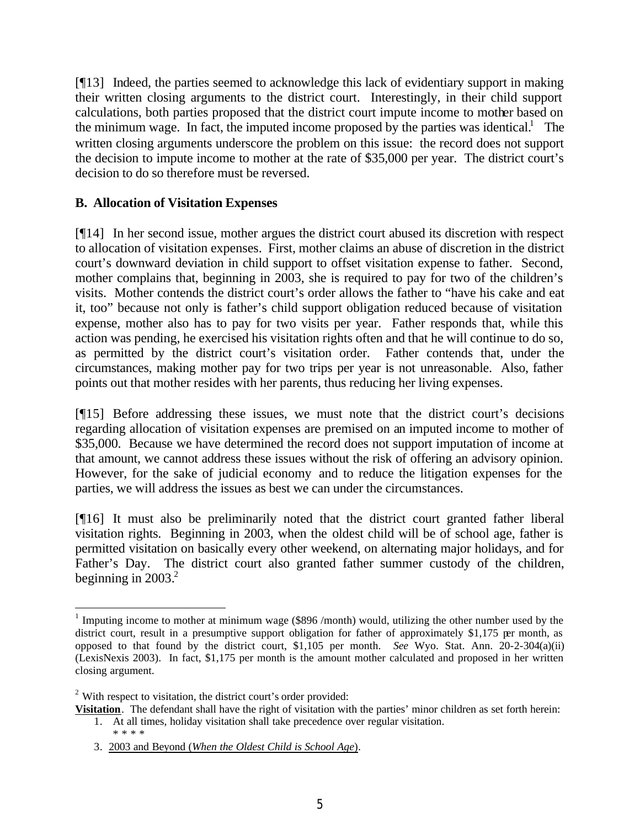[¶13] Indeed, the parties seemed to acknowledge this lack of evidentiary support in making their written closing arguments to the district court. Interestingly, in their child support calculations, both parties proposed that the district court impute income to mother based on the minimum wage. In fact, the imputed income proposed by the parties was identical.<sup>1</sup> The written closing arguments underscore the problem on this issue: the record does not support the decision to impute income to mother at the rate of \$35,000 per year. The district court's decision to do so therefore must be reversed.

# **B. Allocation of Visitation Expenses**

[¶14] In her second issue, mother argues the district court abused its discretion with respect to allocation of visitation expenses. First, mother claims an abuse of discretion in the district court's downward deviation in child support to offset visitation expense to father. Second, mother complains that, beginning in 2003, she is required to pay for two of the children's visits. Mother contends the district court's order allows the father to "have his cake and eat it, too" because not only is father's child support obligation reduced because of visitation expense, mother also has to pay for two visits per year. Father responds that, while this action was pending, he exercised his visitation rights often and that he will continue to do so, as permitted by the district court's visitation order. Father contends that, under the circumstances, making mother pay for two trips per year is not unreasonable. Also, father points out that mother resides with her parents, thus reducing her living expenses.

[¶15] Before addressing these issues, we must note that the district court's decisions regarding allocation of visitation expenses are premised on an imputed income to mother of \$35,000. Because we have determined the record does not support imputation of income at that amount, we cannot address these issues without the risk of offering an advisory opinion. However, for the sake of judicial economy and to reduce the litigation expenses for the parties, we will address the issues as best we can under the circumstances.

[¶16] It must also be preliminarily noted that the district court granted father liberal visitation rights. Beginning in 2003, when the oldest child will be of school age, father is permitted visitation on basically every other weekend, on alternating major holidays, and for Father's Day. The district court also granted father summer custody of the children, beginning in  $2003.<sup>2</sup>$ 

3. 2003 and Beyond (*When the Oldest Child is School Age*).

<sup>&</sup>lt;sup>1</sup> Imputing income to mother at minimum wage (\$896 /month) would, utilizing the other number used by the district court, result in a presumptive support obligation for father of approximately \$1,175 per month, as opposed to that found by the district court, \$1,105 per month. *See* Wyo. Stat. Ann. 20-2-304(a)(ii) (LexisNexis 2003). In fact, \$1,175 per month is the amount mother calculated and proposed in her written closing argument.

 $2$  With respect to visitation, the district court's order provided:

**Visitation**. The defendant shall have the right of visitation with the parties' minor children as set forth herein: 1. At all times, holiday visitation shall take precedence over regular visitation. \* \* \* \*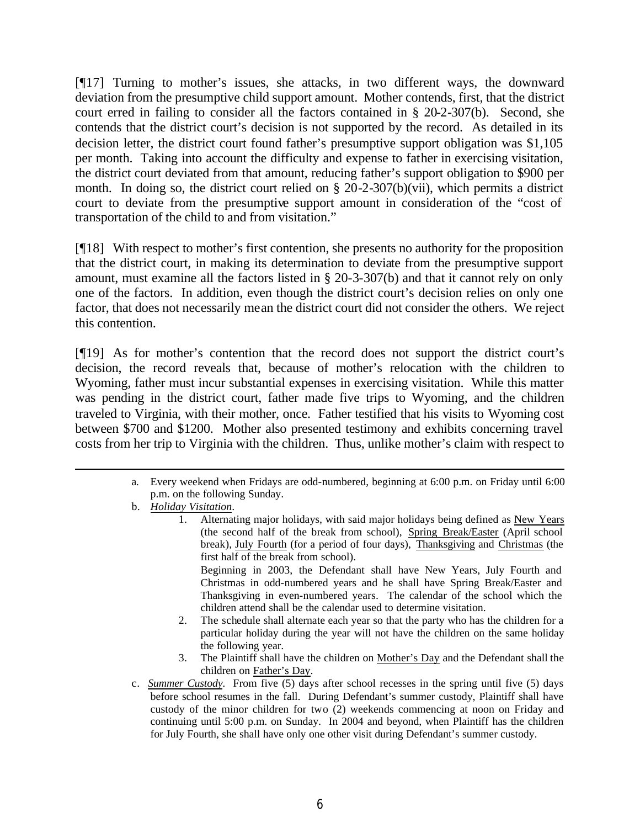[¶17] Turning to mother's issues, she attacks, in two different ways, the downward deviation from the presumptive child support amount. Mother contends, first, that the district court erred in failing to consider all the factors contained in § 20-2-307(b). Second, she contends that the district court's decision is not supported by the record. As detailed in its decision letter, the district court found father's presumptive support obligation was \$1,105 per month. Taking into account the difficulty and expense to father in exercising visitation, the district court deviated from that amount, reducing father's support obligation to \$900 per month. In doing so, the district court relied on § 20-2-307(b)(vii), which permits a district court to deviate from the presumptive support amount in consideration of the "cost of transportation of the child to and from visitation."

[¶18] With respect to mother's first contention, she presents no authority for the proposition that the district court, in making its determination to deviate from the presumptive support amount, must examine all the factors listed in § 20-3-307(b) and that it cannot rely on only one of the factors. In addition, even though the district court's decision relies on only one factor, that does not necessarily mean the district court did not consider the others. We reject this contention.

[¶19] As for mother's contention that the record does not support the district court's decision, the record reveals that, because of mother's relocation with the children to Wyoming, father must incur substantial expenses in exercising visitation. While this matter was pending in the district court, father made five trips to Wyoming, and the children traveled to Virginia, with their mother, once. Father testified that his visits to Wyoming cost between \$700 and \$1200. Mother also presented testimony and exhibits concerning travel costs from her trip to Virginia with the children. Thus, unlike mother's claim with respect to

- a. Every weekend when Fridays are odd-numbered, beginning at 6:00 p.m. on Friday until 6:00 p.m. on the following Sunday.
- b. *Holiday Visitation*.

1. Alternating major holidays, with said major holidays being defined as New Years (the second half of the break from school), Spring Break/Easter (April school break), July Fourth (for a period of four days), Thanksgiving and Christmas (the first half of the break from school).

Beginning in 2003, the Defendant shall have New Years, July Fourth and Christmas in odd-numbered years and he shall have Spring Break/Easter and Thanksgiving in even-numbered years. The calendar of the school which the children attend shall be the calendar used to determine visitation.

- 2. The schedule shall alternate each year so that the party who has the children for a particular holiday during the year will not have the children on the same holiday the following year.
- 3. The Plaintiff shall have the children on Mother's Day and the Defendant shall the children on Father's Day.
- c. *Summer Custody*. From five (5) days after school recesses in the spring until five (5) days before school resumes in the fall. During Defendant's summer custody, Plaintiff shall have custody of the minor children for two (2) weekends commencing at noon on Friday and continuing until 5:00 p.m. on Sunday. In 2004 and beyond, when Plaintiff has the children for July Fourth, she shall have only one other visit during Defendant's summer custody.